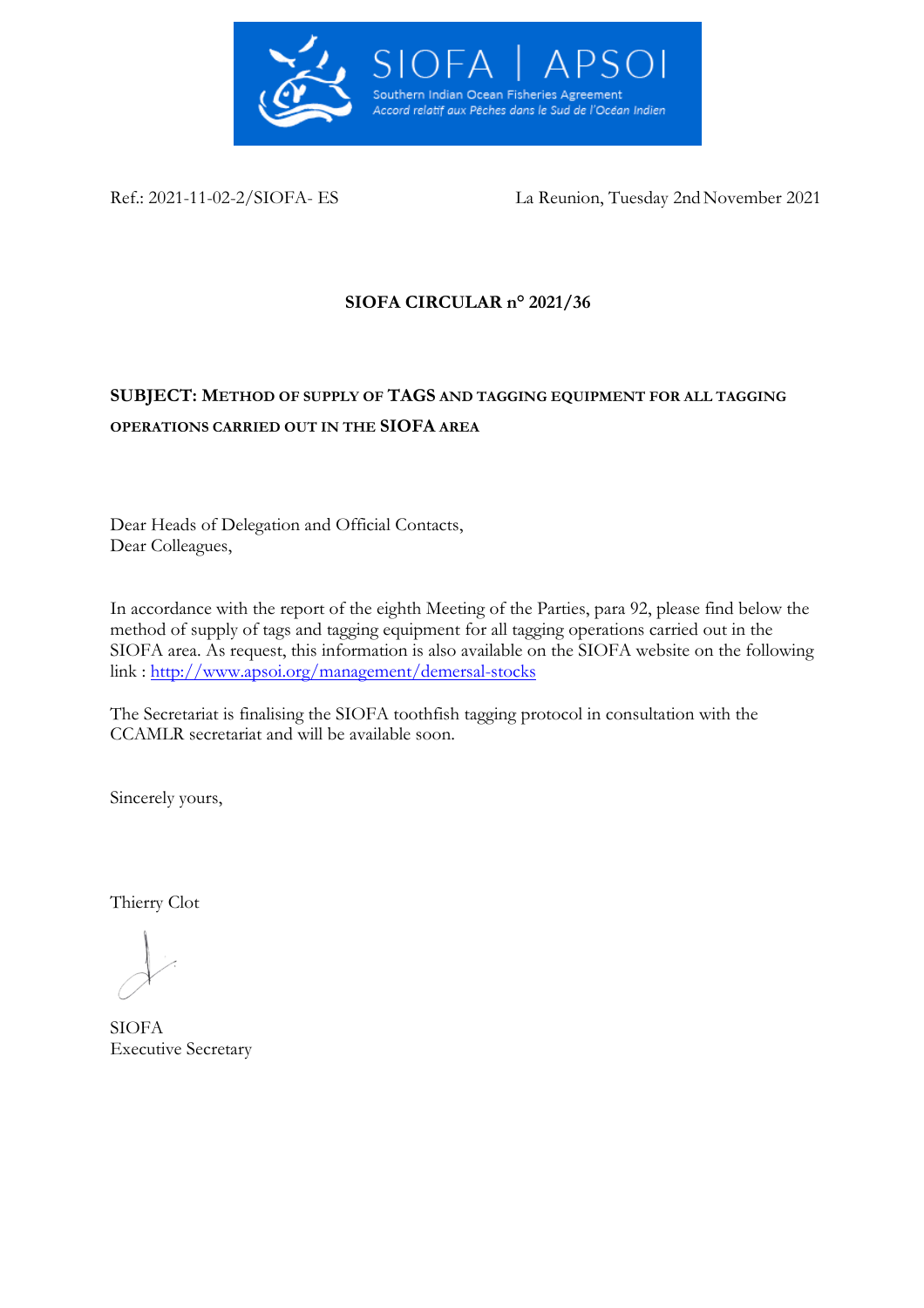

Ref.: 2021-11-02-2/SIOFA- ES La Reunion, Tuesday 2nd November 2021

# **SIOFA CIRCULAR n° 2021/36**

# **SUBJECT: METHOD OF SUPPLY OF TAGS AND TAGGING EQUIPMENT FOR ALL TAGGING OPERATIONS CARRIED OUT IN THE SIOFA AREA**

Dear Heads of Delegation and Official Contacts, Dear Colleagues,

In accordance with the report of the eighth Meeting of the Parties, para 92, please find below the method of supply of tags and tagging equipment for all tagging operations carried out in the SIOFA area. As request, this information is also available on the SIOFA website on the following link : <http://www.apsoi.org/management/demersal-stocks>

The Secretariat is finalising the SIOFA toothfish tagging protocol in consultation with the CCAMLR secretariat and will be available soon.

Sincerely yours,

Thierry Clot

SIOFA Executive Secretary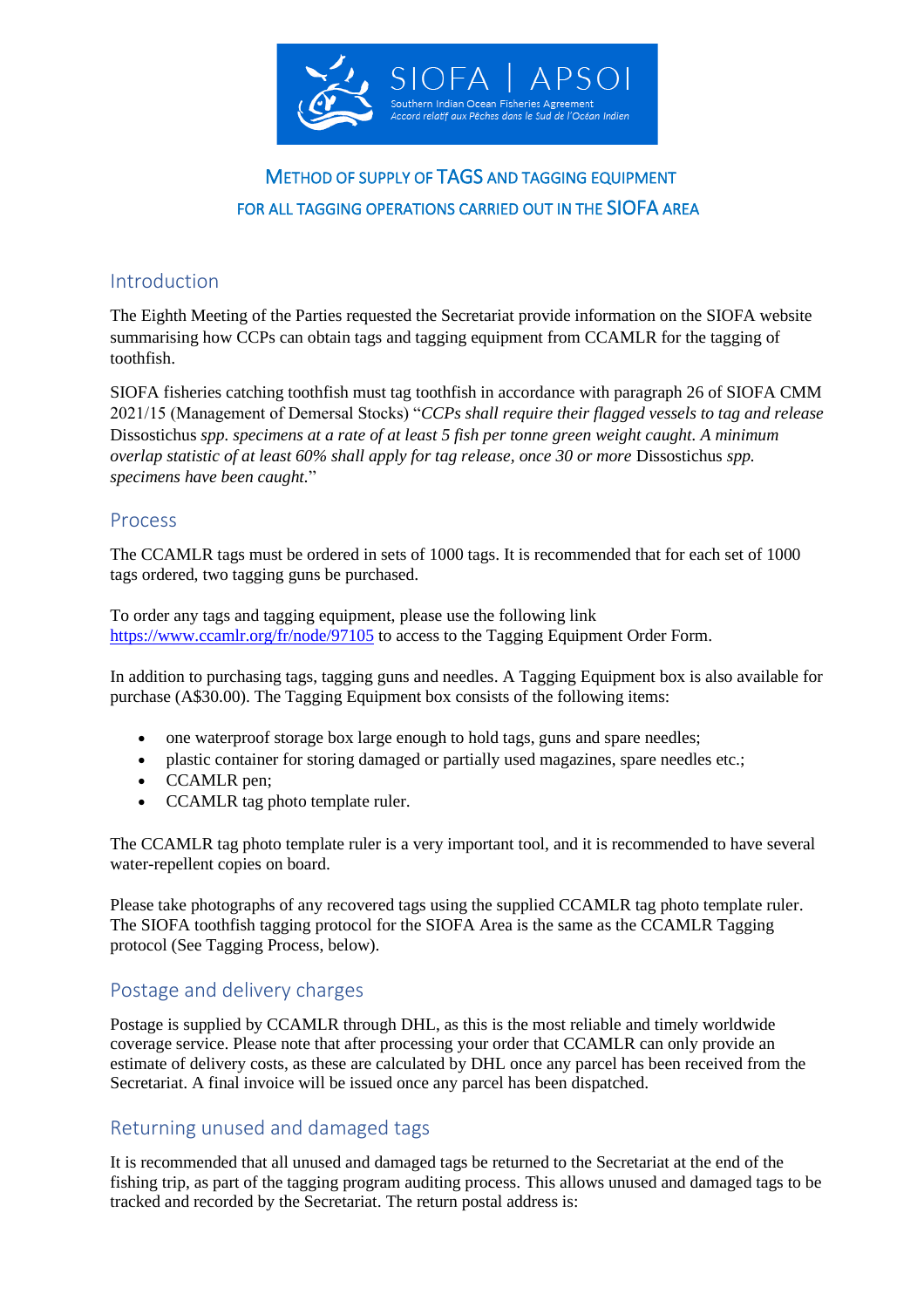

# METHOD OF SUPPLY OF TAGS AND TAGGING EQUIPMENT FOR ALL TAGGING OPERATIONS CARRIED OUT IN THE SIOFA AREA

### Introduction

The Eighth Meeting of the Parties requested the Secretariat provide information on the SIOFA website summarising how CCPs can obtain tags and tagging equipment from CCAMLR for the tagging of toothfish.

SIOFA fisheries catching toothfish must tag toothfish in accordance with paragraph 26 of SIOFA CMM 2021/15 (Management of Demersal Stocks) "*CCPs shall require their flagged vessels to tag and release*  Dissostichus *spp. specimens at a rate of at least 5 fish per tonne green weight caught. A minimum overlap statistic of at least 60% shall apply for tag release, once 30 or more* Dissostichus *spp. specimens have been caught.*"

#### Process

The CCAMLR tags must be ordered in sets of 1000 tags. It is recommended that for each set of 1000 tags ordered, two tagging guns be purchased.

To order any tags and tagging equipment, please use the following link <https://www.ccamlr.org/fr/node/97105> to access to the Tagging Equipment Order Form.

In addition to purchasing tags, tagging guns and needles. A Tagging Equipment box is also available for purchase (A\$30.00). The Tagging Equipment box consists of the following items:

- one waterproof storage box large enough to hold tags, guns and spare needles;
- plastic container for storing damaged or partially used magazines, spare needles etc.;
- CCAMLR pen;
- CCAMLR tag photo template ruler.

The CCAMLR tag photo template ruler is a very important tool, and it is recommended to have several water-repellent copies on board.

Please take photographs of any recovered tags using the supplied CCAMLR tag photo template ruler. The SIOFA toothfish tagging protocol for the SIOFA Area is the same as the CCAMLR Tagging protocol (See Tagging Process, below).

## Postage and delivery charges

Postage is supplied by CCAMLR through DHL, as this is the most reliable and timely worldwide coverage service. Please note that after processing your order that CCAMLR can only provide an estimate of delivery costs, as these are calculated by DHL once any parcel has been received from the Secretariat. A final invoice will be issued once any parcel has been dispatched.

## Returning unused and damaged tags

It is recommended that all unused and damaged tags be returned to the Secretariat at the end of the fishing trip, as part of the tagging program auditing process. This allows unused and damaged tags to be tracked and recorded by the Secretariat. The return postal address is: